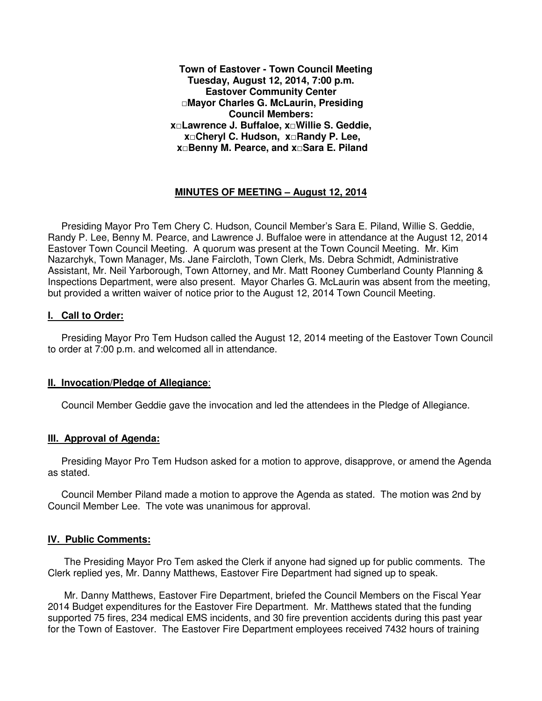**Town of Eastover - Town Council Meeting Tuesday, August 12, 2014, 7:00 p.m. Eastover Community Center □Mayor Charles G. McLaurin, Presiding Council Members: x□Lawrence J. Buffaloe, x□Willie S. Geddie, x□Cheryl C. Hudson, x□Randy P. Lee, x□Benny M. Pearce, and x□Sara E. Piland** 

# **MINUTES OF MEETING – August 12, 2014**

 Presiding Mayor Pro Tem Chery C. Hudson, Council Member's Sara E. Piland, Willie S. Geddie, Randy P. Lee, Benny M. Pearce, and Lawrence J. Buffaloe were in attendance at the August 12, 2014 Eastover Town Council Meeting. A quorum was present at the Town Council Meeting. Mr. Kim Nazarchyk, Town Manager, Ms. Jane Faircloth, Town Clerk, Ms. Debra Schmidt, Administrative Assistant, Mr. Neil Yarborough, Town Attorney, and Mr. Matt Rooney Cumberland County Planning & Inspections Department, were also present. Mayor Charles G. McLaurin was absent from the meeting, but provided a written waiver of notice prior to the August 12, 2014 Town Council Meeting.

#### **I. Call to Order:**

 Presiding Mayor Pro Tem Hudson called the August 12, 2014 meeting of the Eastover Town Council to order at 7:00 p.m. and welcomed all in attendance.

#### **II. Invocation/Pledge of Allegiance**:

Council Member Geddie gave the invocation and led the attendees in the Pledge of Allegiance.

#### **III. Approval of Agenda:**

 Presiding Mayor Pro Tem Hudson asked for a motion to approve, disapprove, or amend the Agenda as stated.

 Council Member Piland made a motion to approve the Agenda as stated. The motion was 2nd by Council Member Lee. The vote was unanimous for approval.

#### **IV. Public Comments:**

 The Presiding Mayor Pro Tem asked the Clerk if anyone had signed up for public comments. The Clerk replied yes, Mr. Danny Matthews, Eastover Fire Department had signed up to speak.

 Mr. Danny Matthews, Eastover Fire Department, briefed the Council Members on the Fiscal Year 2014 Budget expenditures for the Eastover Fire Department. Mr. Matthews stated that the funding supported 75 fires, 234 medical EMS incidents, and 30 fire prevention accidents during this past year for the Town of Eastover. The Eastover Fire Department employees received 7432 hours of training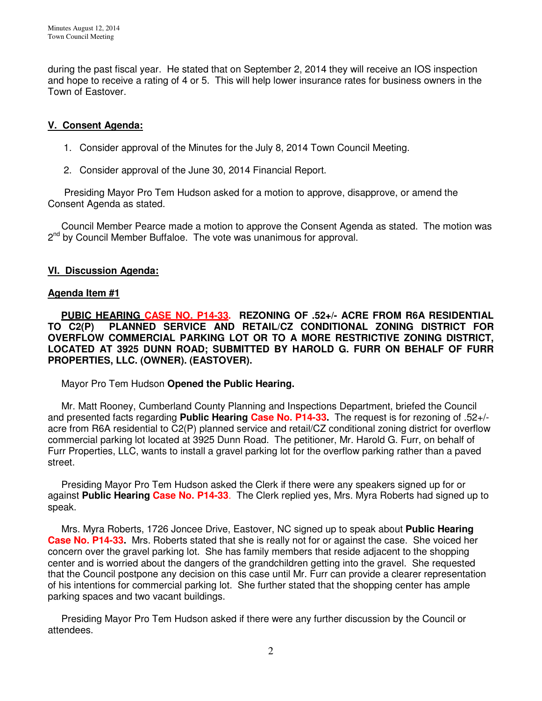during the past fiscal year. He stated that on September 2, 2014 they will receive an IOS inspection and hope to receive a rating of 4 or 5. This will help lower insurance rates for business owners in the Town of Eastover.

## **V. Consent Agenda:**

- 1. Consider approval of the Minutes for the July 8, 2014 Town Council Meeting.
- 2. Consider approval of the June 30, 2014 Financial Report.

 Presiding Mayor Pro Tem Hudson asked for a motion to approve, disapprove, or amend the Consent Agenda as stated.

 Council Member Pearce made a motion to approve the Consent Agenda as stated. The motion was 2<sup>nd</sup> by Council Member Buffaloe. The vote was unanimous for approval.

# **VI. Discussion Agenda:**

## **Agenda Item #1**

 **PUBIC HEARING CASE NO. P14-33. REZONING OF .52+/- ACRE FROM R6A RESIDENTIAL TO C2(P) PLANNED SERVICE AND RETAIL/CZ CONDITIONAL ZONING DISTRICT FOR OVERFLOW COMMERCIAL PARKING LOT OR TO A MORE RESTRICTIVE ZONING DISTRICT, LOCATED AT 3925 DUNN ROAD; SUBMITTED BY HAROLD G. FURR ON BEHALF OF FURR PROPERTIES, LLC. (OWNER). (EASTOVER).** 

Mayor Pro Tem Hudson **Opened the Public Hearing.** 

 Mr. Matt Rooney, Cumberland County Planning and Inspections Department, briefed the Council and presented facts regarding **Public Hearing Case No. P14-33.** The request is for rezoning of .52+/ acre from R6A residential to C2(P) planned service and retail/CZ conditional zoning district for overflow commercial parking lot located at 3925 Dunn Road. The petitioner, Mr. Harold G. Furr, on behalf of Furr Properties, LLC, wants to install a gravel parking lot for the overflow parking rather than a paved street.

 Presiding Mayor Pro Tem Hudson asked the Clerk if there were any speakers signed up for or against **Public Hearing Case No. P14-33**. The Clerk replied yes, Mrs. Myra Roberts had signed up to speak.

 Mrs. Myra Roberts, 1726 Joncee Drive, Eastover, NC signed up to speak about **Public Hearing Case No. P14-33.** Mrs. Roberts stated that she is really not for or against the case. She voiced her concern over the gravel parking lot. She has family members that reside adjacent to the shopping center and is worried about the dangers of the grandchildren getting into the gravel. She requested that the Council postpone any decision on this case until Mr. Furr can provide a clearer representation of his intentions for commercial parking lot. She further stated that the shopping center has ample parking spaces and two vacant buildings.

 Presiding Mayor Pro Tem Hudson asked if there were any further discussion by the Council or attendees.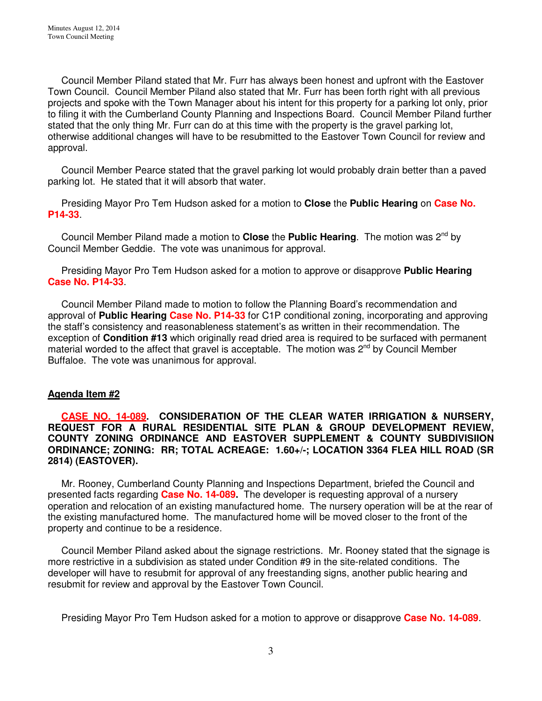Council Member Piland stated that Mr. Furr has always been honest and upfront with the Eastover Town Council. Council Member Piland also stated that Mr. Furr has been forth right with all previous projects and spoke with the Town Manager about his intent for this property for a parking lot only, prior to filing it with the Cumberland County Planning and Inspections Board. Council Member Piland further stated that the only thing Mr. Furr can do at this time with the property is the gravel parking lot, otherwise additional changes will have to be resubmitted to the Eastover Town Council for review and approval.

 Council Member Pearce stated that the gravel parking lot would probably drain better than a paved parking lot. He stated that it will absorb that water.

 Presiding Mayor Pro Tem Hudson asked for a motion to **Close** the **Public Hearing** on **Case No. P14-33**.

 Council Member Piland made a motion to **Close** the **Public Hearing**. The motion was 2nd by Council Member Geddie. The vote was unanimous for approval.

 Presiding Mayor Pro Tem Hudson asked for a motion to approve or disapprove **Public Hearing Case No. P14-33**.

 Council Member Piland made to motion to follow the Planning Board's recommendation and approval of **Public Hearing Case No. P14-33** for C1P conditional zoning, incorporating and approving the staff's consistency and reasonableness statement's as written in their recommendation. The exception of **Condition #13** which originally read dried area is required to be surfaced with permanent material worded to the affect that gravel is acceptable. The motion was  $2^{nd}$  by Council Member Buffaloe. The vote was unanimous for approval.

## **Agenda Item #2**

### **CASE NO. 14-089. CONSIDERATION OF THE CLEAR WATER IRRIGATION & NURSERY, REQUEST FOR A RURAL RESIDENTIAL SITE PLAN & GROUP DEVELOPMENT REVIEW, COUNTY ZONING ORDINANCE AND EASTOVER SUPPLEMENT & COUNTY SUBDIVISIION ORDINANCE; ZONING: RR; TOTAL ACREAGE: 1.60+/-; LOCATION 3364 FLEA HILL ROAD (SR 2814) (EASTOVER).**

 Mr. Rooney, Cumberland County Planning and Inspections Department, briefed the Council and presented facts regarding **Case No. 14-089.** The developer is requesting approval of a nursery operation and relocation of an existing manufactured home. The nursery operation will be at the rear of the existing manufactured home. The manufactured home will be moved closer to the front of the property and continue to be a residence.

 Council Member Piland asked about the signage restrictions. Mr. Rooney stated that the signage is more restrictive in a subdivision as stated under Condition #9 in the site-related conditions. The developer will have to resubmit for approval of any freestanding signs, another public hearing and resubmit for review and approval by the Eastover Town Council.

Presiding Mayor Pro Tem Hudson asked for a motion to approve or disapprove **Case No. 14-089**.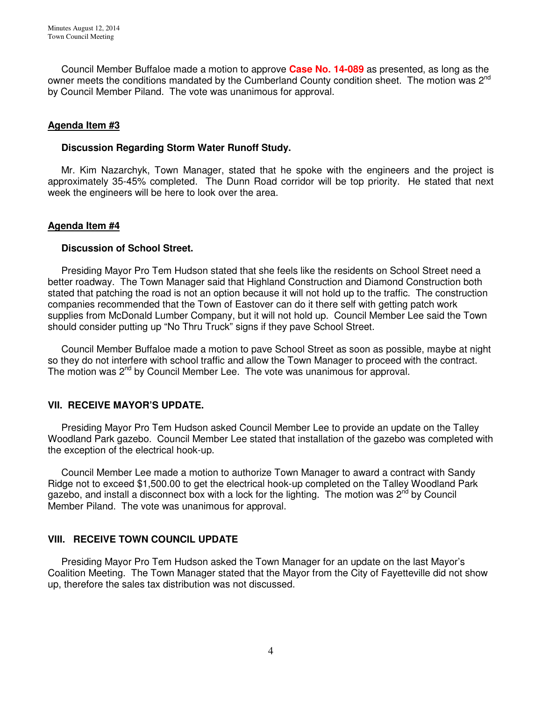Council Member Buffaloe made a motion to approve **Case No. 14-089** as presented, as long as the owner meets the conditions mandated by the Cumberland County condition sheet. The motion was  $2^{nd}$ by Council Member Piland. The vote was unanimous for approval.

## **Agenda Item #3**

### **Discussion Regarding Storm Water Runoff Study.**

 Mr. Kim Nazarchyk, Town Manager, stated that he spoke with the engineers and the project is approximately 35-45% completed. The Dunn Road corridor will be top priority. He stated that next week the engineers will be here to look over the area.

### **Agenda Item #4**

### **Discussion of School Street.**

 Presiding Mayor Pro Tem Hudson stated that she feels like the residents on School Street need a better roadway. The Town Manager said that Highland Construction and Diamond Construction both stated that patching the road is not an option because it will not hold up to the traffic. The construction companies recommended that the Town of Eastover can do it there self with getting patch work supplies from McDonald Lumber Company, but it will not hold up. Council Member Lee said the Town should consider putting up "No Thru Truck" signs if they pave School Street.

 Council Member Buffaloe made a motion to pave School Street as soon as possible, maybe at night so they do not interfere with school traffic and allow the Town Manager to proceed with the contract. The motion was 2<sup>nd</sup> by Council Member Lee. The vote was unanimous for approval.

## **VII. RECEIVE MAYOR'S UPDATE.**

 Presiding Mayor Pro Tem Hudson asked Council Member Lee to provide an update on the Talley Woodland Park gazebo. Council Member Lee stated that installation of the gazebo was completed with the exception of the electrical hook-up.

 Council Member Lee made a motion to authorize Town Manager to award a contract with Sandy Ridge not to exceed \$1,500.00 to get the electrical hook-up completed on the Talley Woodland Park gazebo, and install a disconnect box with a lock for the lighting. The motion was  $2^{nd}$  by Council Member Piland. The vote was unanimous for approval.

## **VIII. RECEIVE TOWN COUNCIL UPDATE**

 Presiding Mayor Pro Tem Hudson asked the Town Manager for an update on the last Mayor's Coalition Meeting. The Town Manager stated that the Mayor from the City of Fayetteville did not show up, therefore the sales tax distribution was not discussed.